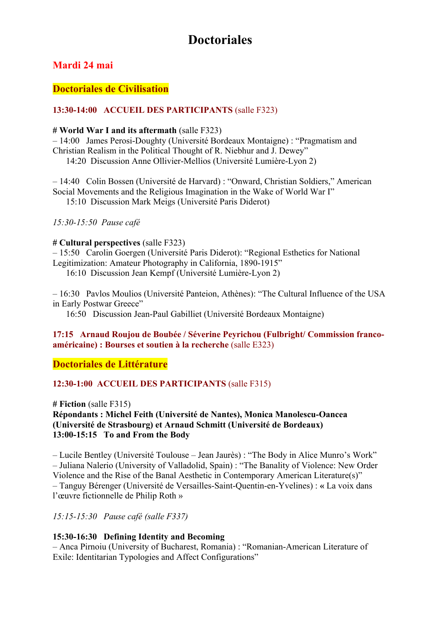# **Doctoriales**

### **Mardi 24 mai**

### **Doctoriales de Civilisation**

### **13:30-14:00 ACCUEIL DES PARTICIPANTS** (salle F323)

#### **# World War I and its aftermath** (salle F323)

– 14:00 James Perosi-Doughty (Université Bordeaux Montaigne) : "Pragmatism and Christian Realism in the Political Thought of R. Niebhur and J. Dewey"

14:20 Discussion Anne Ollivier-Mellios (Université Lumière-Lyon 2)

– 14:40 Colin Bossen (Université de Harvard) : "Onward, Christian Soldiers," American Social Movements and the Religious Imagination in the Wake of World War I" 15:10 Discussion Mark Meigs (Université Paris Diderot)

*15:30-15:50 Pause café*

#### **# Cultural perspectives** (salle F323)

– 15:50 Carolin Goergen (Université Paris Diderot): "Regional Esthetics for National Legitimization: Amateur Photography in California, 1890-1915"

16:10 Discussion Jean Kempf (Université Lumière-Lyon 2)

– 16:30 Pavlos Moulios (Université Panteion, Athènes): "The Cultural Influence of the USA in Early Postwar Greece"

16:50 Discussion Jean-Paul Gabilliet (Université Bordeaux Montaigne)

### **17:15 Arnaud Roujou de Boubée / Séverine Peyrichou (Fulbright/ Commission francoaméricaine) : Bourses et soutien à la recherche** (salle E323)

### **Doctoriales de Littérature**

### **12:30-1:00 ACCUEIL DES PARTICIPANTS** (salle F315)

**# Fiction** (salle F315)

### **Répondants : Michel Feith (Université de Nantes), Monica Manolescu-Oancea (Université de Strasbourg) et Arnaud Schmitt (Université de Bordeaux) 13:00-15:15 To and From the Body**

– Lucile Bentley (Université Toulouse – Jean Jaurès) : "The Body in Alice Munro's Work" – Juliana Nalerio (University of Valladolid, Spain) : "The Banality of Violence: New Order Violence and the Rise of the Banal Aesthetic in Contemporary American Literature(s)" – Tanguy Bérenger (Université de Versailles-Saint-Quentin-en-Yvelines) : **«** La voix dans l'œuvre fictionnelle de Philip Roth »

*15:15-15:30 Pause café (salle F337)*

### **15:30-16:30 Defining Identity and Becoming**

– Anca Pirnoiu (University of Bucharest, Romania) : "Romanian-American Literature of Exile: Identitarian Typologies and Affect Configurations"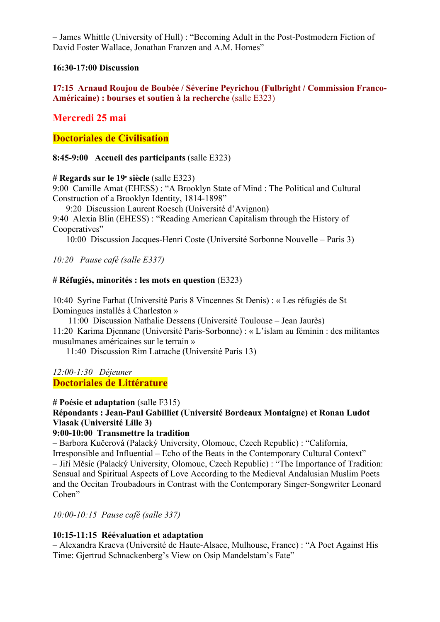– James Whittle (University of Hull) : "Becoming Adult in the Post-Postmodern Fiction of David Foster Wallace, Jonathan Franzen and A.M. Homes"

### **16:30-17:00 Discussion**

### **17:15 Arnaud Roujou de Boubée / Séverine Peyrichou (Fulbright / Commission Franco-Américaine) : bourses et soutien à la recherche** (salle E323)

### **Mercredi 25 mai**

### **Doctoriales de Civilisation**

### **8:45-9:00 Accueil des participants** (salle E323)

### **# Regards sur le 19e siècle** (salle E323)

9:00 Camille Amat (EHESS) : "A Brooklyn State of Mind : The Political and Cultural Construction of a Brooklyn Identity, 1814-1898"

9:20 Discussion Laurent Roesch (Université d'Avignon)

9:40 Alexia Blin (EHESS) : "Reading American Capitalism through the History of Cooperatives"

10:00 Discussion Jacques-Henri Coste (Université Sorbonne Nouvelle – Paris 3)

*10:20 Pause café (salle E337)*

### **# Réfugiés, minorités : les mots en question** (E323)

10:40 Syrine Farhat (Université Paris 8 Vincennes St Denis) : « Les réfugiés de St Domingues installés à Charleston »

11:00 Discussion Nathalie Dessens (Université Toulouse – Jean Jaurès) 11:20 Karima Djennane (Université Paris-Sorbonne) : « L'islam au féminin : des militantes musulmanes américaines sur le terrain »

11:40 Discussion Rim Latrache (Université Paris 13)

### *12:00-1:30 Déjeuner* **Doctoriales de Littérature**

### **# Poésie et adaptation** (salle F315)

### **Répondants : Jean-Paul Gabilliet (Université Bordeaux Montaigne) et Ronan Ludot Vlasak (Université Lille 3)**

### **9:00-10:00 Transmettre la tradition**

– Barbora Kučerová (Palacký University, Olomouc, Czech Republic) : "California, Irresponsible and Influential – Echo of the Beats in the Contemporary Cultural Context" – Jiří Měsíc (Palacký University, Olomouc, Czech Republic) : "The Importance of Tradition: Sensual and Spiritual Aspects of Love According to the Medieval Andalusian Muslim Poets and the Occitan Troubadours in Contrast with the Contemporary Singer-Songwriter Leonard Cohen"

*10:00-10:15 Pause café (salle 337)*

### **10:15-11:15 Réévaluation et adaptation**

– Alexandra Kraeva (Université de Haute-Alsace, Mulhouse, France) : "A Poet Against His Time: Gjertrud Schnackenberg's View on Osip Mandelstam's Fate"